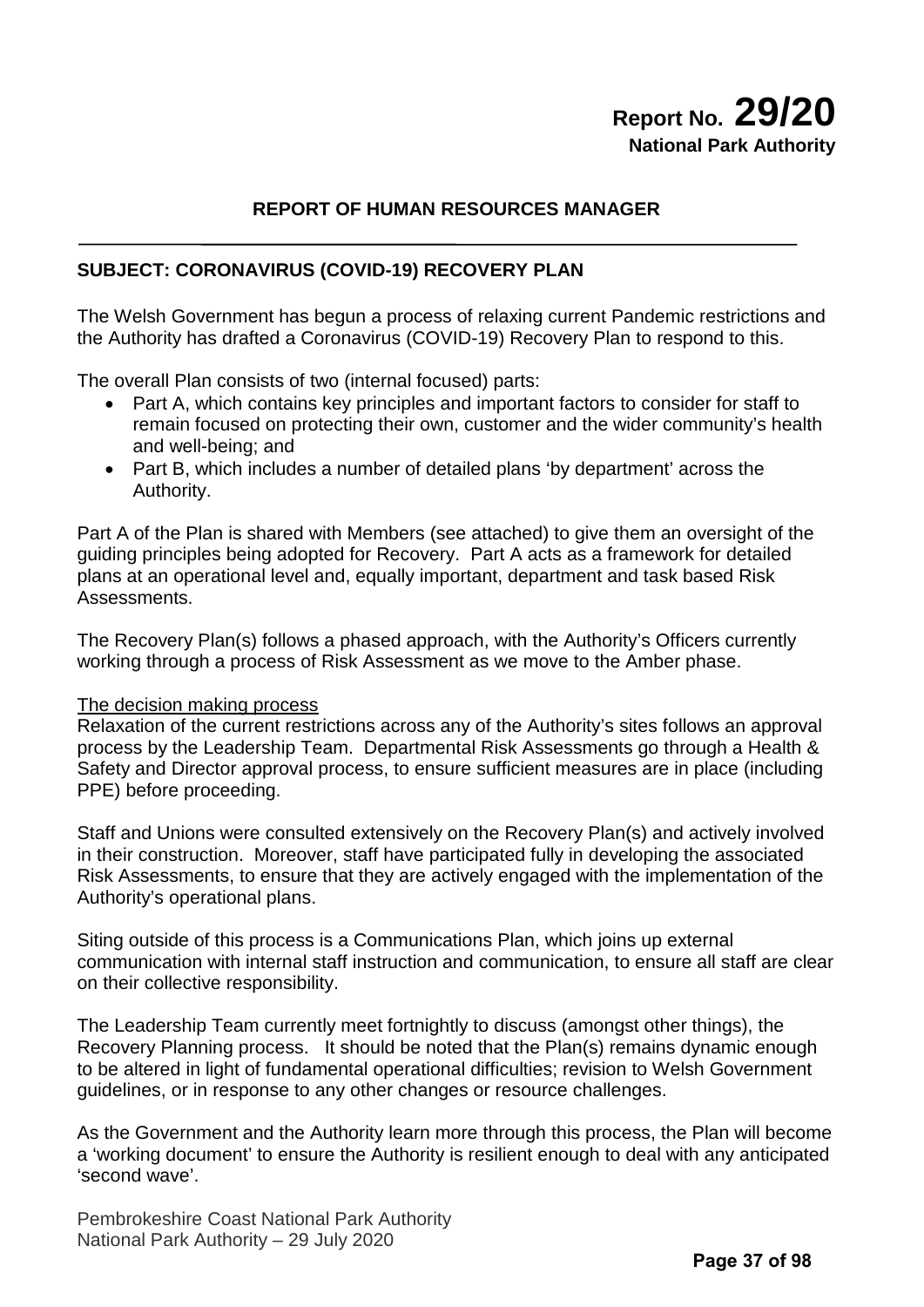# **Report No. 29/20 National Park Authority**

#### **REPORT OF HUMAN RESOURCES MANAGER**

#### **SUBJECT: CORONAVIRUS (COVID-19) RECOVERY PLAN**

The Welsh Government has begun a process of relaxing current Pandemic restrictions and the Authority has drafted a Coronavirus (COVID-19) Recovery Plan to respond to this.

The overall Plan consists of two (internal focused) parts:

- Part A, which contains key principles and important factors to consider for staff to remain focused on protecting their own, customer and the wider community's health and well-being; and
- Part B, which includes a number of detailed plans 'by department' across the Authority.

Part A of the Plan is shared with Members (see attached) to give them an oversight of the guiding principles being adopted for Recovery. Part A acts as a framework for detailed plans at an operational level and, equally important, department and task based Risk Assessments.

The Recovery Plan(s) follows a phased approach, with the Authority's Officers currently working through a process of Risk Assessment as we move to the Amber phase.

#### The decision making process

Relaxation of the current restrictions across any of the Authority's sites follows an approval process by the Leadership Team. Departmental Risk Assessments go through a Health & Safety and Director approval process, to ensure sufficient measures are in place (including PPE) before proceeding.

Staff and Unions were consulted extensively on the Recovery Plan(s) and actively involved in their construction. Moreover, staff have participated fully in developing the associated Risk Assessments, to ensure that they are actively engaged with the implementation of the Authority's operational plans.

Siting outside of this process is a Communications Plan, which joins up external communication with internal staff instruction and communication, to ensure all staff are clear on their collective responsibility.

The Leadership Team currently meet fortnightly to discuss (amongst other things), the Recovery Planning process. It should be noted that the Plan(s) remains dynamic enough to be altered in light of fundamental operational difficulties; revision to Welsh Government guidelines, or in response to any other changes or resource challenges.

As the Government and the Authority learn more through this process, the Plan will become a 'working document' to ensure the Authority is resilient enough to deal with any anticipated 'second wave'.

Pembrokeshire Coast National Park Authority National Park Authority – 29 July 2020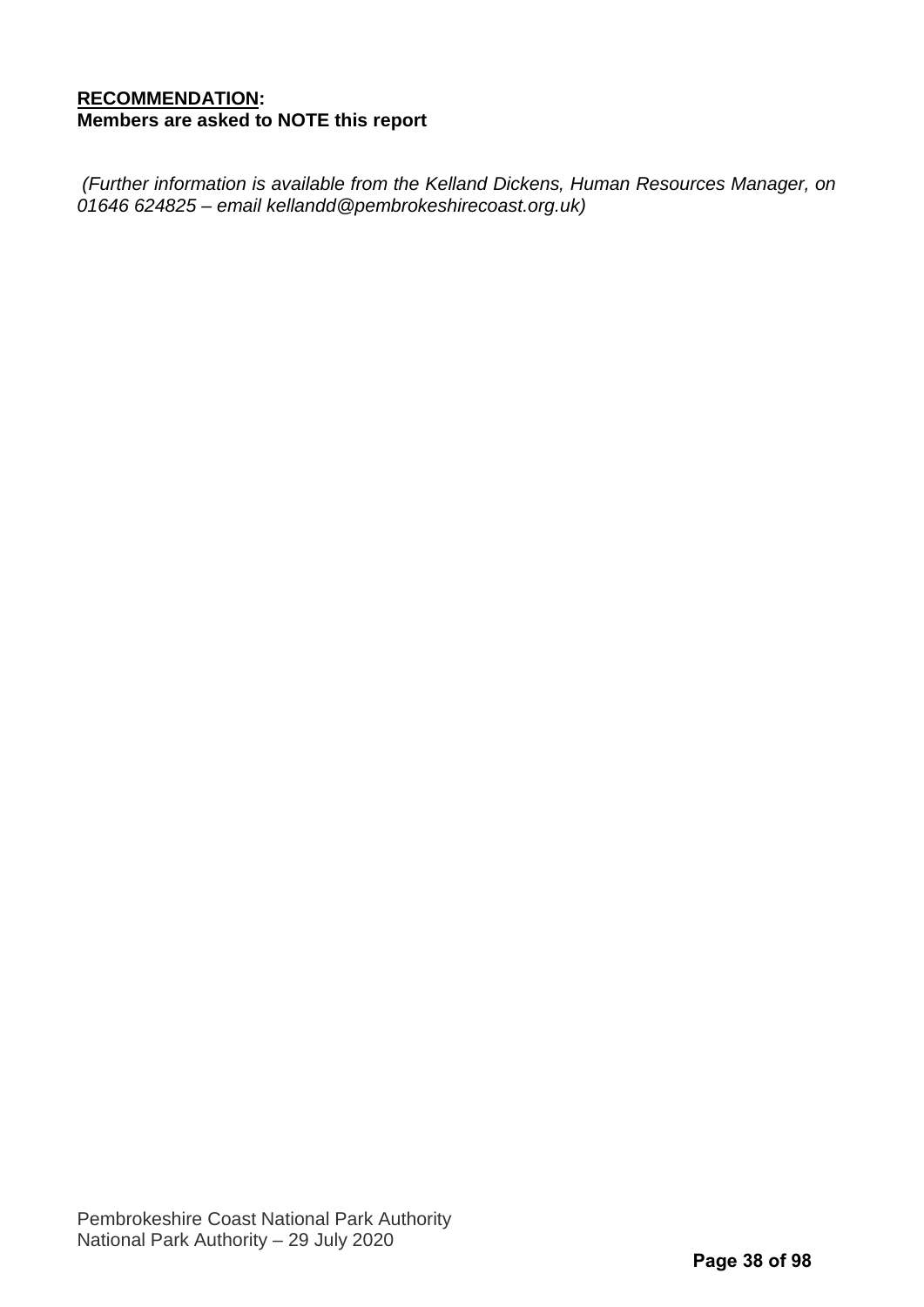#### **RECOMMENDATION: Members are asked to NOTE this report**

*(Further information is available from the Kelland Dickens, Human Resources Manager, on 01646 624825 – email kellandd@pembrokeshirecoast.org.uk)*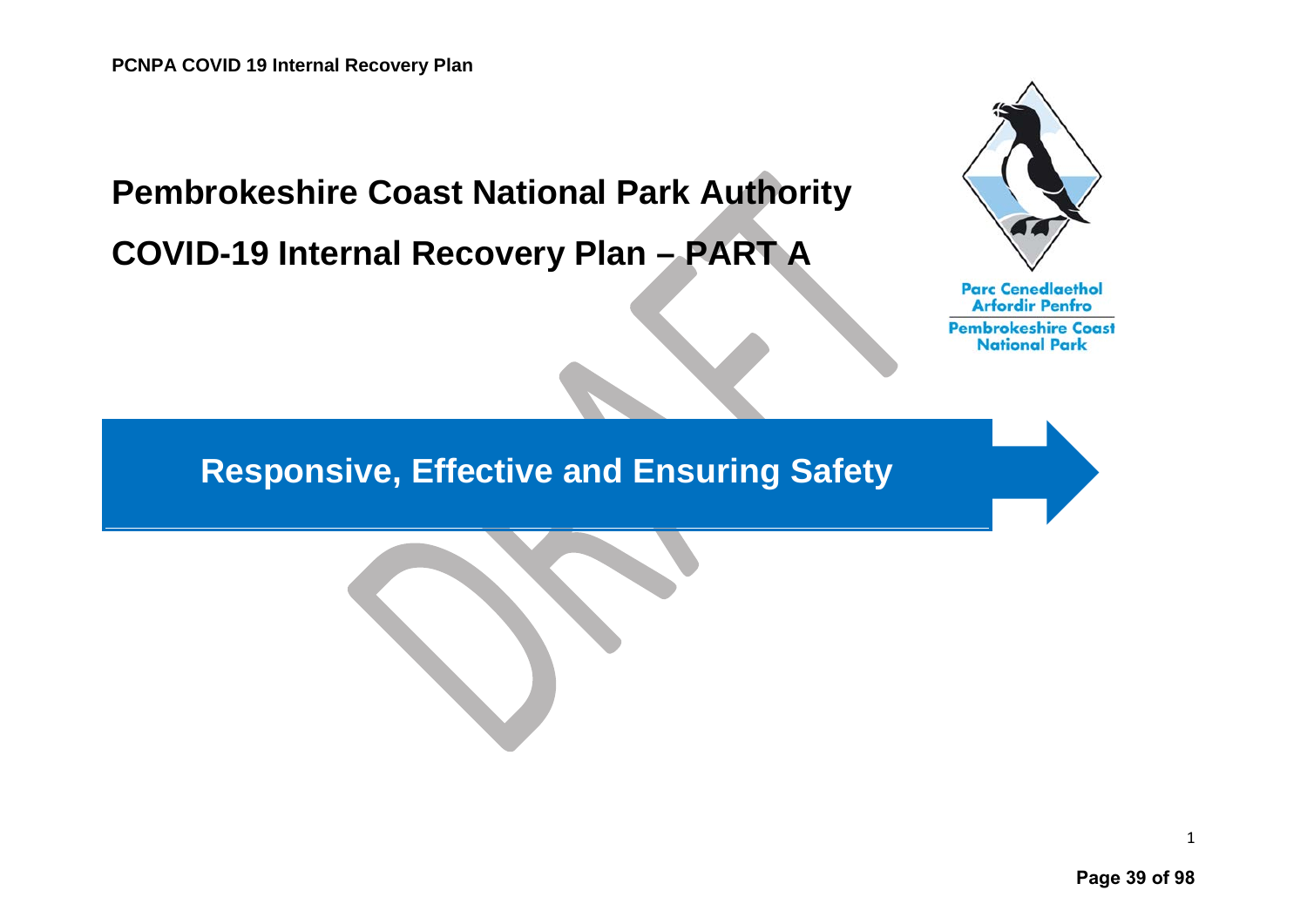# **Pembrokeshire Coast National Park Authority COVID-19 Internal Recovery Plan – PART A**



**Parc Cenedlaethol Arfordir Penfro Pembrokeshire Coast National Park** 

# **Responsive, Effective and Ensuring Safety**

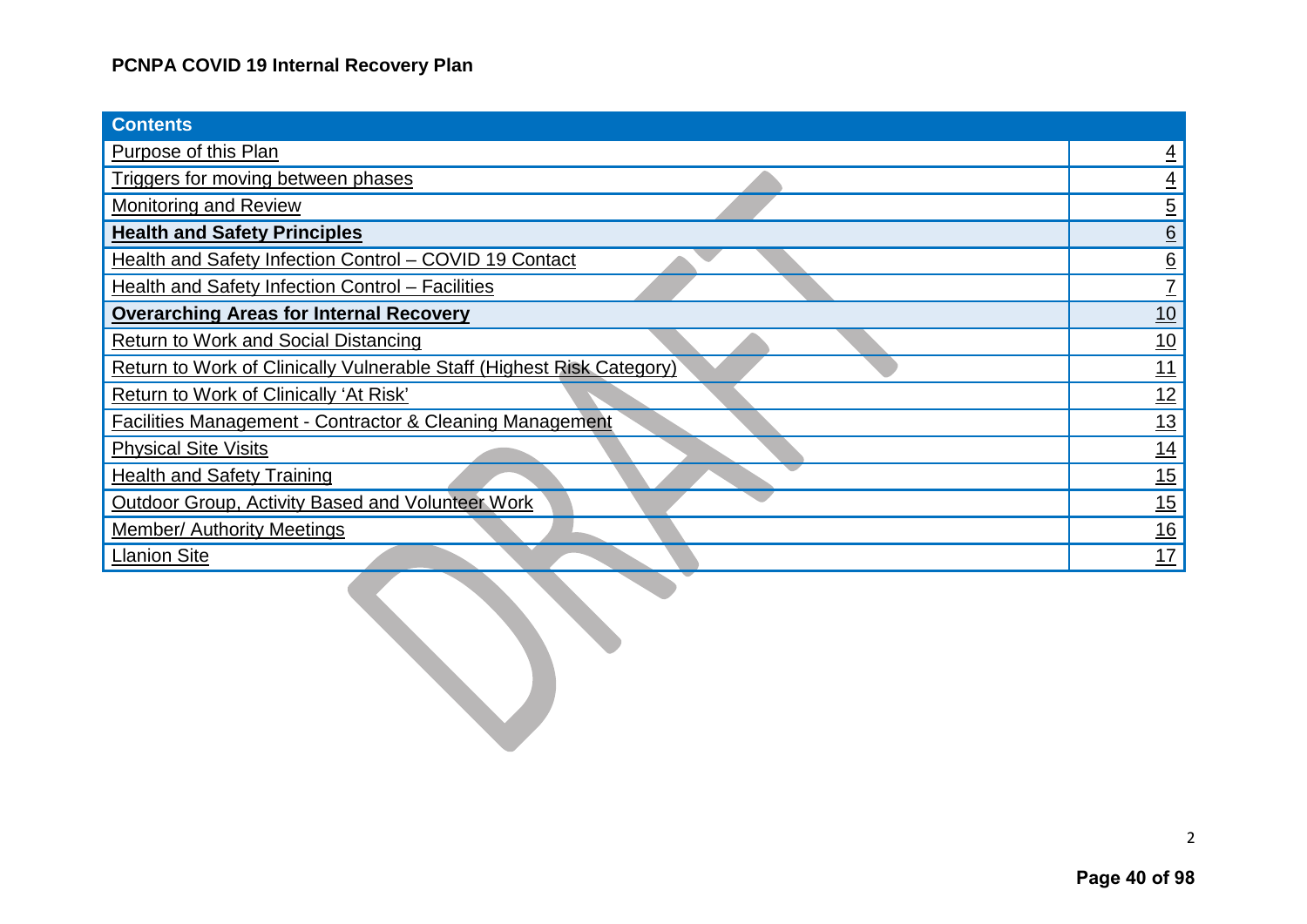| <b>Contents</b>                                                       |                 |
|-----------------------------------------------------------------------|-----------------|
| <b>Purpose of this Plan</b>                                           | $\overline{4}$  |
| Triggers for moving between phases                                    | $\overline{4}$  |
| <b>Monitoring and Review</b>                                          |                 |
| <b>Health and Safety Principles</b>                                   | $\frac{5}{6}$   |
| Health and Safety Infection Control - COVID 19 Contact                | $\frac{6}{7}$   |
| <b>Health and Safety Infection Control - Facilities</b>               |                 |
| <b>Overarching Areas for Internal Recovery</b>                        | 10              |
| <b>Return to Work and Social Distancing</b>                           | $\frac{10}{1}$  |
| Return to Work of Clinically Vulnerable Staff (Highest Risk Category) | $\overline{11}$ |
| Return to Work of Clinically 'At Risk'                                | 12              |
| Facilities Management - Contractor & Cleaning Management              | $\frac{13}{ }$  |
| <b>Physical Site Visits</b>                                           | $\frac{14}{1}$  |
| <b>Health and Safety Training</b>                                     | 15              |
| Outdoor Group, Activity Based and Volunteer Work                      | 15              |
| <b>Member/ Authority Meetings</b>                                     | 16              |
| <b>Llanion Site</b>                                                   | $\overline{17}$ |
|                                                                       |                 |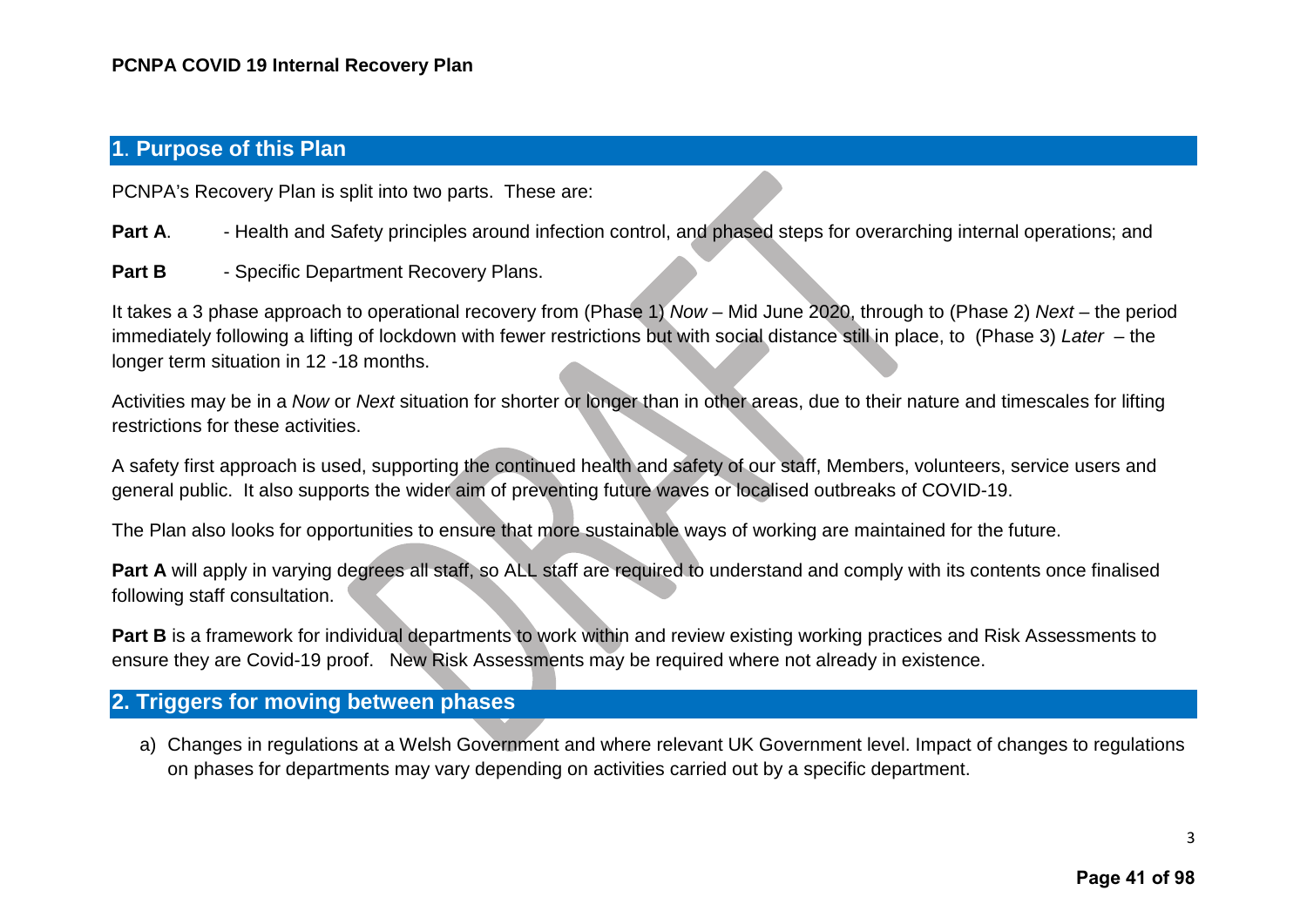#### <span id="page-4-0"></span>**1**. **Purpose of this Plan**

PCNPA's Recovery Plan is split into two parts. These are:

- Part A. Health and Safety principles around infection control, and phased steps for overarching internal operations; and
- Part B Specific Department Recovery Plans.

It takes a 3 phase approach to operational recovery from (Phase 1) *Now* – Mid June 2020, through to (Phase 2) *Next* – the period immediately following a lifting of lockdown with fewer restrictions but with social distance still in place, to (Phase 3) *Later* – the longer term situation in 12 -18 months.

Activities may be in a *Now* or *Next* situation for shorter or longer than in other areas, due to their nature and timescales for lifting restrictions for these activities.

A safety first approach is used, supporting the continued health and safety of our staff, Members, volunteers, service users and general public. It also supports the wider aim of preventing future waves or localised outbreaks of COVID-19.

The Plan also looks for opportunities to ensure that more sustainable ways of working are maintained for the future.

**Part A** will apply in varying degrees all staff, so ALL staff are required to understand and comply with its contents once finalised following staff consultation.

**Part B** is a framework for individual departments to work within and review existing working practices and Risk Assessments to ensure they are Covid-19 proof. New Risk Assessments may be required where not already in existence.

### <span id="page-4-1"></span>**2. Triggers for moving between phases**

a) Changes in regulations at a Welsh Government and where relevant UK Government level. Impact of changes to regulations on phases for departments may vary depending on activities carried out by a specific department.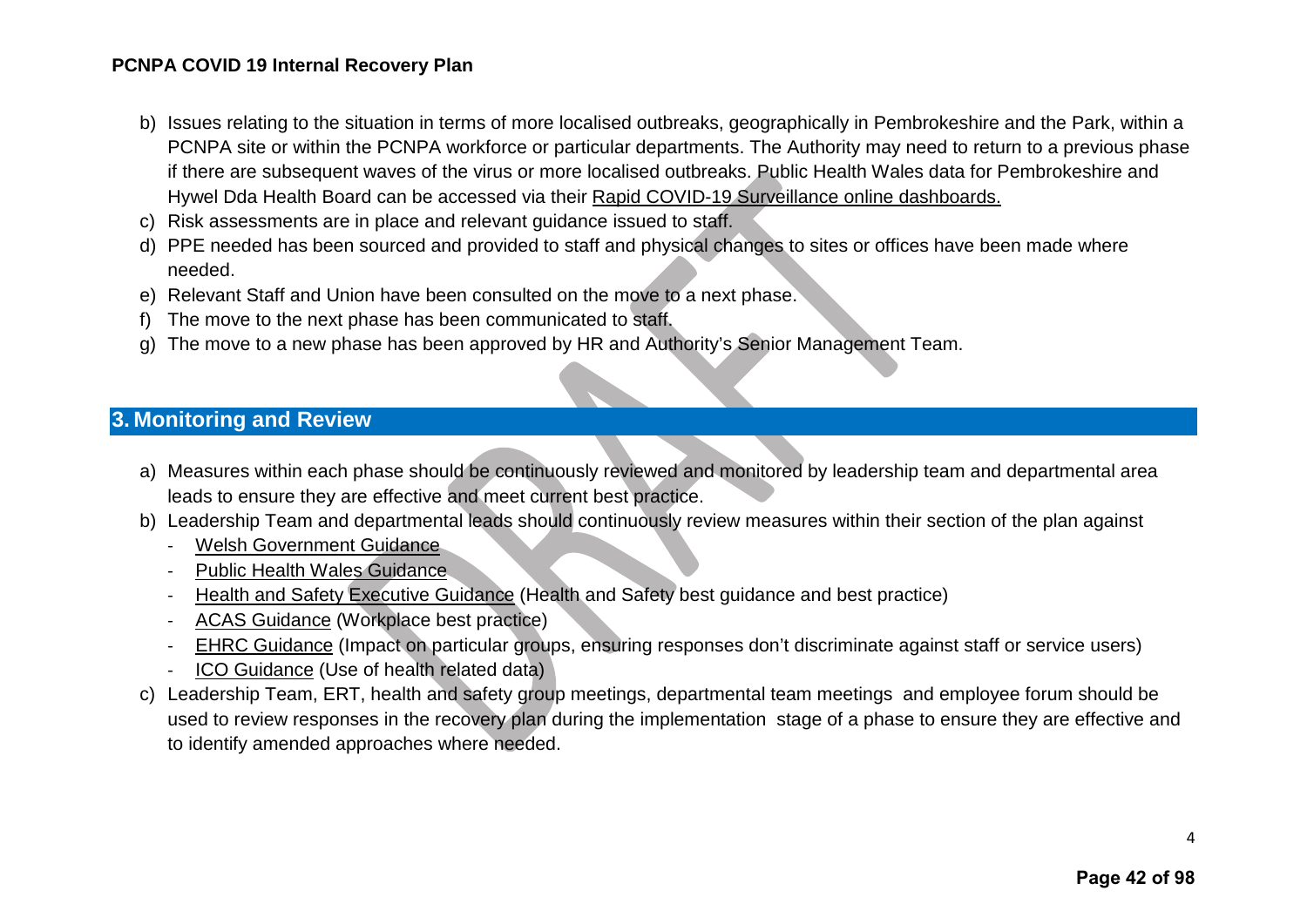- b) Issues relating to the situation in terms of more localised outbreaks, geographically in Pembrokeshire and the Park, within a PCNPA site or within the PCNPA workforce or particular departments. The Authority may need to return to a previous phase if there are subsequent waves of the virus or more localised outbreaks. Public Health Wales data for Pembrokeshire and Hywel Dda Health Board can be accessed via their [Rapid COVID-19 Surveillance online dashboards.](https://public.tableau.com/views/RapidCOVID-19virology-Mobilefriendly/Summary?%3AshowVizHome=no&%3Aembed=true#2)
- c) Risk assessments are in place and relevant guidance issued to staff.
- d) PPE needed has been sourced and provided to staff and physical changes to sites or offices have been made where needed.
- e) Relevant Staff and Union have been consulted on the move to a next phase.
- f) The move to the next phase has been communicated to staff.
- g) The move to a new phase has been approved by HR and Authority's Senior Management Team.

### <span id="page-5-0"></span>**3. Monitoring and Review**

- a) Measures within each phase should be continuously reviewed and monitored by leadership team and departmental area leads to ensure they are effective and meet current best practice.
- b) Leadership Team and departmental leads should continuously review measures within their section of the plan against
	- [Welsh Government Guidance](https://gov.wales/coronavirus)
	- [Public Health Wales Guidance](https://phw.nhs.wales/topics/latest-information-on-novel-coronavirus-covid-19/)
	- [Health and Safety Executive Guidance](https://www.hse.gov.uk/news/coronavirus.htm) (Health and Safety best guidance and best practice)
	- [ACAS Guidance](https://www.acas.org.uk/coronavirus) (Workplace best practice)
	- [EHRC Guidance](https://www.equalityhumanrights.com/en/our-work/our-response-coronavirus-covid-19-pandemic) (Impact on particular groups, ensuring responses don't discriminate against staff or service users)
	- [ICO Guidance](https://ico.org.uk/global/data-protection-and-coronavirus-information-hub/) (Use of health related data)
- c) Leadership Team, ERT, health and safety group meetings, departmental team meetings and employee forum should be used to review responses in the recovery plan during the implementation stage of a phase to ensure they are effective and to identify amended approaches where needed.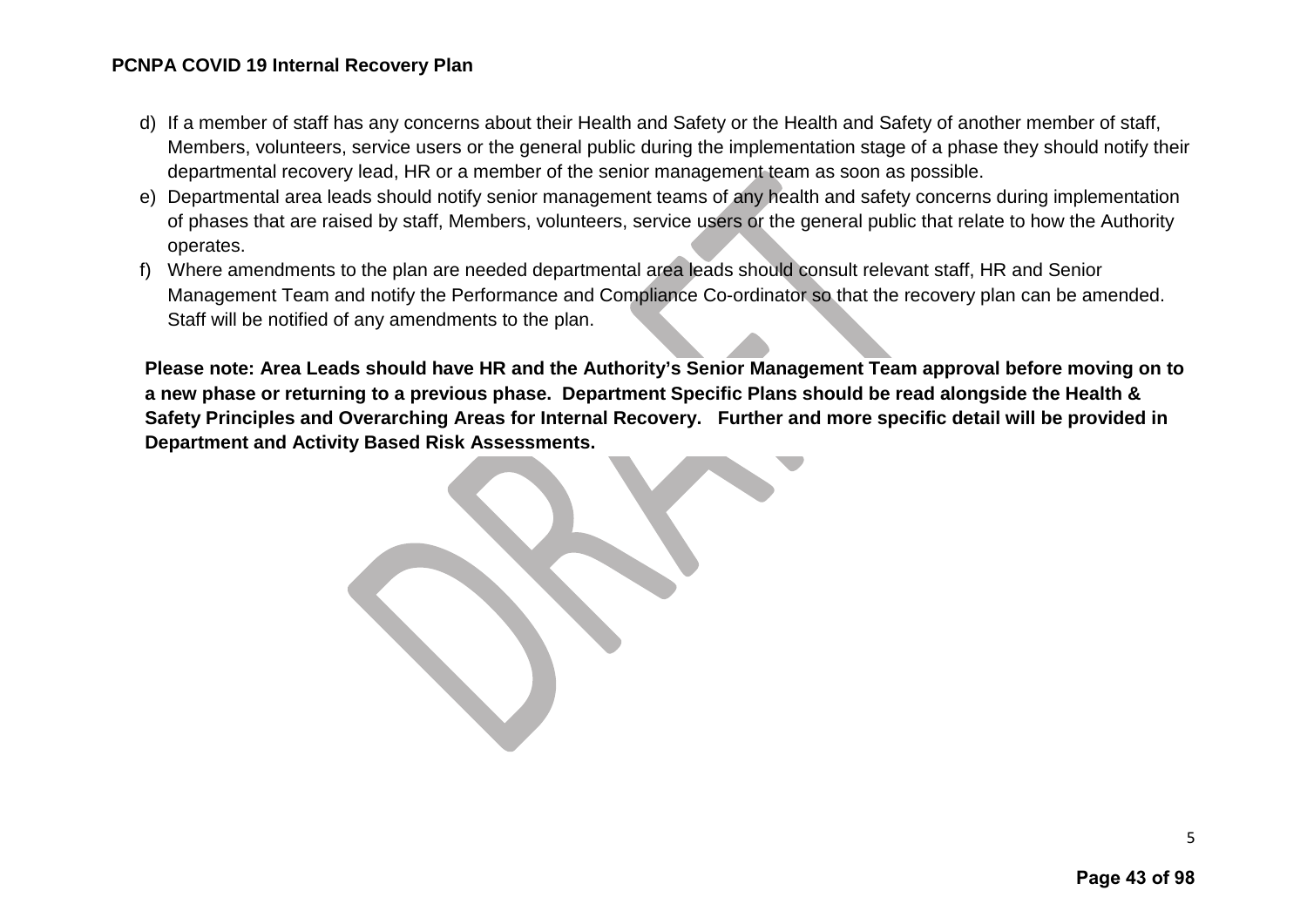- d) If a member of staff has any concerns about their Health and Safety or the Health and Safety of another member of staff, Members, volunteers, service users or the general public during the implementation stage of a phase they should notify their departmental recovery lead, HR or a member of the senior management team as soon as possible.
- e) Departmental area leads should notify senior management teams of any health and safety concerns during implementation of phases that are raised by staff, Members, volunteers, service users or the general public that relate to how the Authority operates.
- f) Where amendments to the plan are needed departmental area leads should consult relevant staff, HR and Senior Management Team and notify the Performance and Compliance Co-ordinator so that the recovery plan can be amended. Staff will be notified of any amendments to the plan.

**Please note: Area Leads should have HR and the Authority's Senior Management Team approval before moving on to a new phase or returning to a previous phase. Department Specific Plans should be read alongside the Health & Safety Principles and Overarching Areas for Internal Recovery. Further and more specific detail will be provided in Department and Activity Based Risk Assessments.**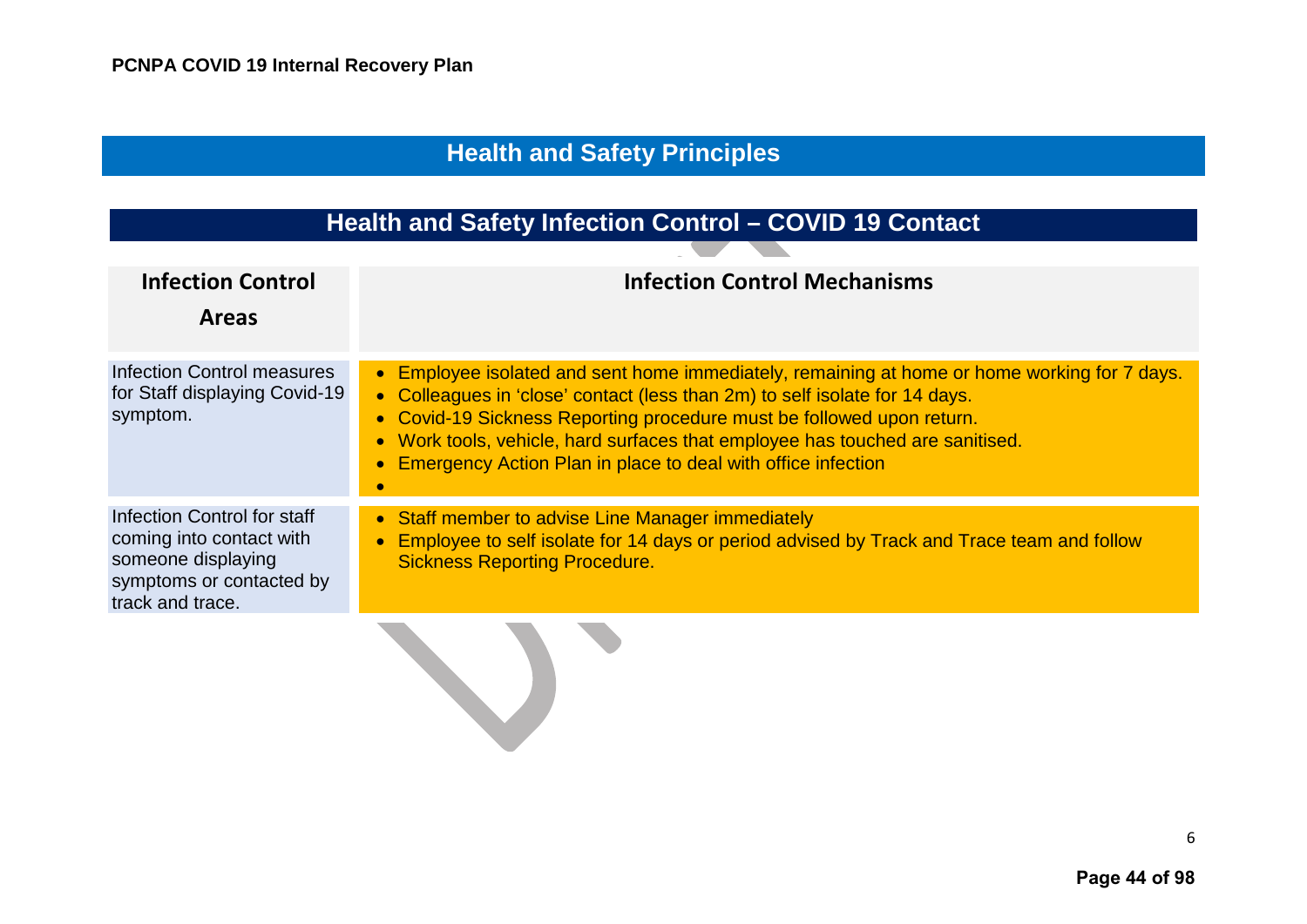# **Health and Safety Principles**

# **Health and Safety Infection Control – COVID 19 Contact**

<span id="page-7-1"></span><span id="page-7-0"></span>

| <b>Infection Control</b><br><b>Areas</b>                                                                                      | <b>Infection Control Mechanisms</b>                                                                                                                                                                                                                                                                                                                                                                     |
|-------------------------------------------------------------------------------------------------------------------------------|---------------------------------------------------------------------------------------------------------------------------------------------------------------------------------------------------------------------------------------------------------------------------------------------------------------------------------------------------------------------------------------------------------|
| <b>Infection Control measures</b><br>for Staff displaying Covid-19<br>symptom.                                                | • Employee isolated and sent home immediately, remaining at home or home working for 7 days.<br>• Colleagues in 'close' contact (less than 2m) to self isolate for 14 days.<br>• Covid-19 Sickness Reporting procedure must be followed upon return.<br>• Work tools, vehicle, hard surfaces that employee has touched are sanitised.<br>• Emergency Action Plan in place to deal with office infection |
| Infection Control for staff<br>coming into contact with<br>someone displaying<br>symptoms or contacted by<br>track and trace. | • Staff member to advise Line Manager immediately<br>Employee to self isolate for 14 days or period advised by Track and Trace team and follow<br><b>Sickness Reporting Procedure.</b>                                                                                                                                                                                                                  |
|                                                                                                                               |                                                                                                                                                                                                                                                                                                                                                                                                         |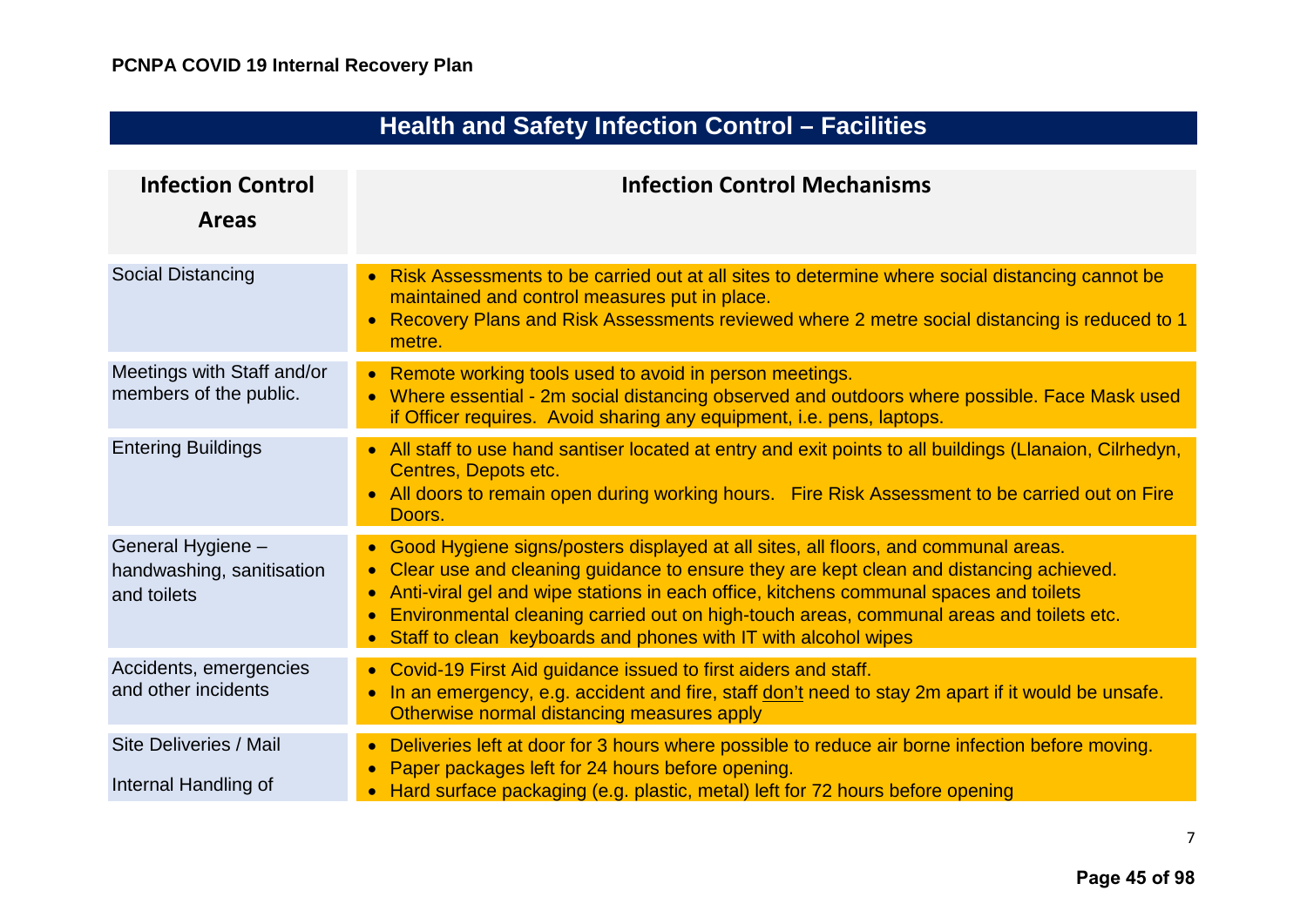<span id="page-8-0"></span>

| <b>Health and Safety Infection Control - Facilities</b>       |                                                                                                                                                                                                                                                                                                                                                                                                                                                                |  |
|---------------------------------------------------------------|----------------------------------------------------------------------------------------------------------------------------------------------------------------------------------------------------------------------------------------------------------------------------------------------------------------------------------------------------------------------------------------------------------------------------------------------------------------|--|
| <b>Infection Control</b><br><b>Areas</b>                      | <b>Infection Control Mechanisms</b>                                                                                                                                                                                                                                                                                                                                                                                                                            |  |
| Social Distancing                                             | Risk Assessments to be carried out at all sites to determine where social distancing cannot be<br>maintained and control measures put in place.<br>Recovery Plans and Risk Assessments reviewed where 2 metre social distancing is reduced to 1<br>$\bullet$<br>metre.                                                                                                                                                                                         |  |
| Meetings with Staff and/or<br>members of the public.          | • Remote working tools used to avoid in person meetings.<br>Where essential - 2m social distancing observed and outdoors where possible. Face Mask used<br>$\bullet$<br>if Officer requires. Avoid sharing any equipment, i.e. pens, laptops.                                                                                                                                                                                                                  |  |
| <b>Entering Buildings</b>                                     | • All staff to use hand santiser located at entry and exit points to all buildings (Llanaion, Cilrhedyn,<br>Centres, Depots etc.<br>All doors to remain open during working hours. Fire Risk Assessment to be carried out on Fire<br>Doors.                                                                                                                                                                                                                    |  |
| General Hygiene -<br>handwashing, sanitisation<br>and toilets | • Good Hygiene signs/posters displayed at all sites, all floors, and communal areas.<br>Clear use and cleaning guidance to ensure they are kept clean and distancing achieved.<br>Anti-viral gel and wipe stations in each office, kitchens communal spaces and toilets<br>$\bullet$<br>Environmental cleaning carried out on high-touch areas, communal areas and toilets etc.<br>Staff to clean keyboards and phones with IT with alcohol wipes<br>$\bullet$ |  |
| Accidents, emergencies<br>and other incidents                 | • Covid-19 First Aid guidance issued to first aiders and staff.<br>In an emergency, e.g. accident and fire, staff don't need to stay 2m apart if it would be unsafe.<br>$\bullet$<br>Otherwise normal distancing measures apply                                                                                                                                                                                                                                |  |
| Site Deliveries / Mail<br>Internal Handling of                | Deliveries left at door for 3 hours where possible to reduce air borne infection before moving.<br>Paper packages left for 24 hours before opening.<br>Hard surface packaging (e.g. plastic, metal) left for 72 hours before opening                                                                                                                                                                                                                           |  |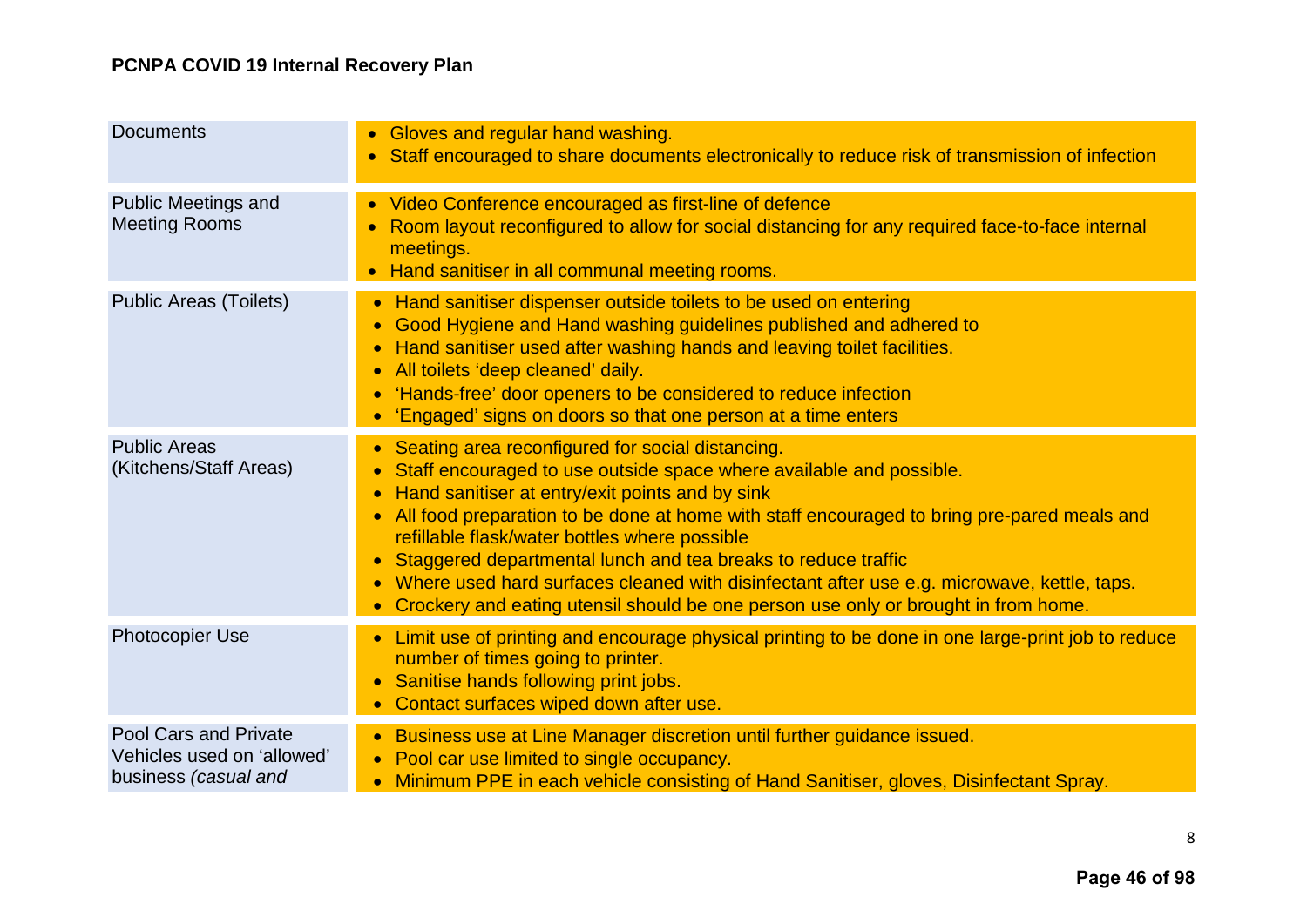| <b>Documents</b>                                                                   | • Gloves and regular hand washing.<br>Staff encouraged to share documents electronically to reduce risk of transmission of infection                                                                                                                                                                                                                                                                                                                                                                                                                                                                                      |
|------------------------------------------------------------------------------------|---------------------------------------------------------------------------------------------------------------------------------------------------------------------------------------------------------------------------------------------------------------------------------------------------------------------------------------------------------------------------------------------------------------------------------------------------------------------------------------------------------------------------------------------------------------------------------------------------------------------------|
| <b>Public Meetings and</b><br><b>Meeting Rooms</b>                                 | • Video Conference encouraged as first-line of defence<br>Room layout reconfigured to allow for social distancing for any required face-to-face internal<br>meetings.<br>• Hand sanitiser in all communal meeting rooms.                                                                                                                                                                                                                                                                                                                                                                                                  |
| <b>Public Areas (Toilets)</b>                                                      | Hand sanitiser dispenser outside toilets to be used on entering<br>$\bullet$<br>Good Hygiene and Hand washing guidelines published and adhered to<br>$\bullet$<br>Hand sanitiser used after washing hands and leaving toilet facilities.<br>$\bullet$<br>All toilets 'deep cleaned' daily.<br>$\bullet$<br>'Hands-free' door openers to be considered to reduce infection<br>$\bullet$<br>'Engaged' signs on doors so that one person at a time enters                                                                                                                                                                    |
| <b>Public Areas</b><br>(Kitchens/Staff Areas)                                      | • Seating area reconfigured for social distancing.<br>Staff encouraged to use outside space where available and possible.<br>Hand sanitiser at entry/exit points and by sink<br>$\bullet$<br>All food preparation to be done at home with staff encouraged to bring pre-pared meals and<br>refillable flask/water bottles where possible<br>Staggered departmental lunch and tea breaks to reduce traffic<br>$\bullet$<br>Where used hard surfaces cleaned with disinfectant after use e.g. microwave, kettle, taps.<br>$\bullet$<br>• Crockery and eating utensil should be one person use only or brought in from home. |
| Photocopier Use                                                                    | Limit use of printing and encourage physical printing to be done in one large-print job to reduce<br>number of times going to printer.<br>Sanitise hands following print jobs.<br>$\bullet$<br>Contact surfaces wiped down after use.                                                                                                                                                                                                                                                                                                                                                                                     |
| <b>Pool Cars and Private</b><br>Vehicles used on 'allowed'<br>business (casual and | • Business use at Line Manager discretion until further guidance issued.<br>• Pool car use limited to single occupancy.<br>Minimum PPE in each vehicle consisting of Hand Sanitiser, gloves, Disinfectant Spray.                                                                                                                                                                                                                                                                                                                                                                                                          |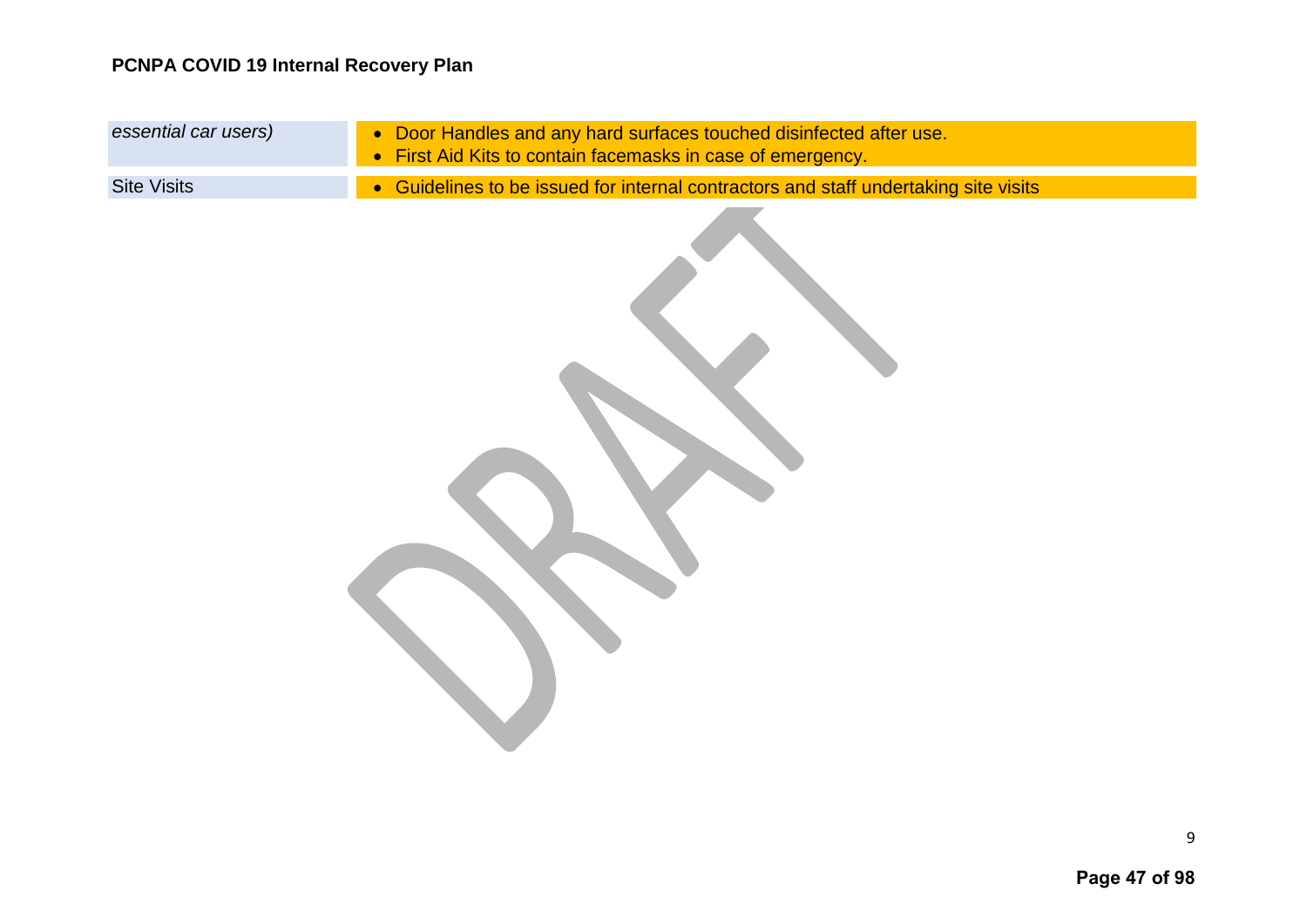| essential car users) | • Door Handles and any hard surfaces touched disinfected after use.<br>• First Aid Kits to contain facemasks in case of emergency. |
|----------------------|------------------------------------------------------------------------------------------------------------------------------------|
| <b>Site Visits</b>   | • Guidelines to be issued for internal contractors and staff undertaking site visits                                               |
|                      |                                                                                                                                    |

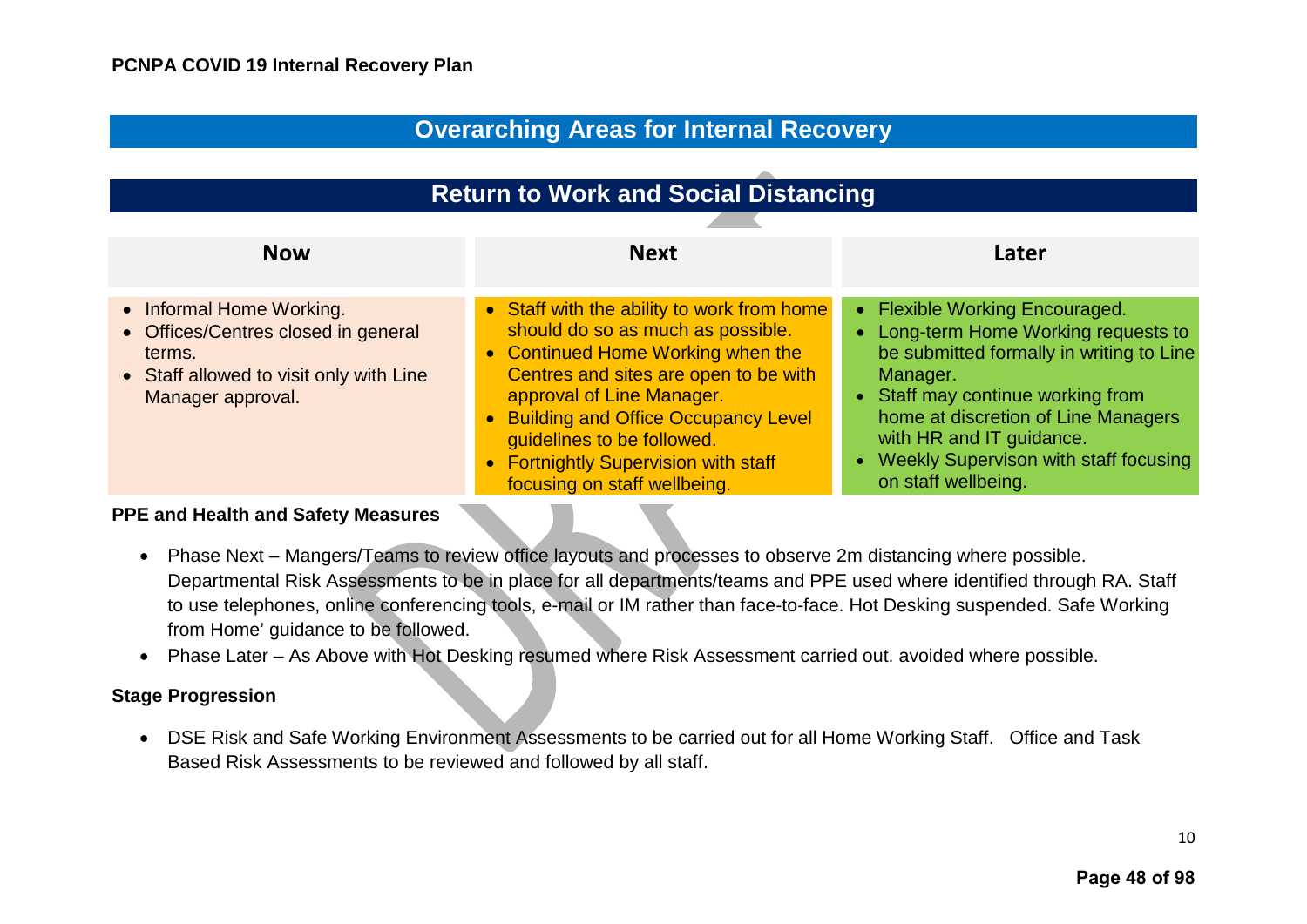## **Overarching Areas for Internal Recovery**

<span id="page-11-1"></span><span id="page-11-0"></span>

| <b>Return to Work and Social Distancing</b>                                                                                               |                                                                                                                                                                                                                                                                                                                                           |                                                                                                                                                                                                                                                                                                        |
|-------------------------------------------------------------------------------------------------------------------------------------------|-------------------------------------------------------------------------------------------------------------------------------------------------------------------------------------------------------------------------------------------------------------------------------------------------------------------------------------------|--------------------------------------------------------------------------------------------------------------------------------------------------------------------------------------------------------------------------------------------------------------------------------------------------------|
| <b>Now</b>                                                                                                                                | <b>Next</b>                                                                                                                                                                                                                                                                                                                               | Later                                                                                                                                                                                                                                                                                                  |
| • Informal Home Working.<br>• Offices/Centres closed in general<br>terms.<br>• Staff allowed to visit only with Line<br>Manager approval. | • Staff with the ability to work from home<br>should do so as much as possible.<br>• Continued Home Working when the<br>Centres and sites are open to be with<br>approval of Line Manager.<br>• Building and Office Occupancy Level<br>guidelines to be followed.<br>• Fortnightly Supervision with staff<br>focusing on staff wellbeing. | • Flexible Working Encouraged.<br>• Long-term Home Working requests to<br>be submitted formally in writing to Line<br>Manager.<br>• Staff may continue working from<br>home at discretion of Line Managers<br>with HR and IT guidance.<br>Weekly Supervison with staff focusing<br>on staff wellbeing. |

#### **PPE and Health and Safety Measures**

- Phase Next Mangers/Teams to review office layouts and processes to observe 2m distancing where possible. Departmental Risk Assessments to be in place for all departments/teams and PPE used where identified through RA. Staff to use telephones, online conferencing tools, e-mail or IM rather than face-to-face. Hot Desking suspended. Safe Working from Home' guidance to be followed.
- Phase Later As Above with Hot Desking resumed where Risk Assessment carried out. avoided where possible.

#### **Stage Progression**

• DSE Risk and Safe Working Environment Assessments to be carried out for all Home Working Staff. Office and Task Based Risk Assessments to be reviewed and followed by all staff.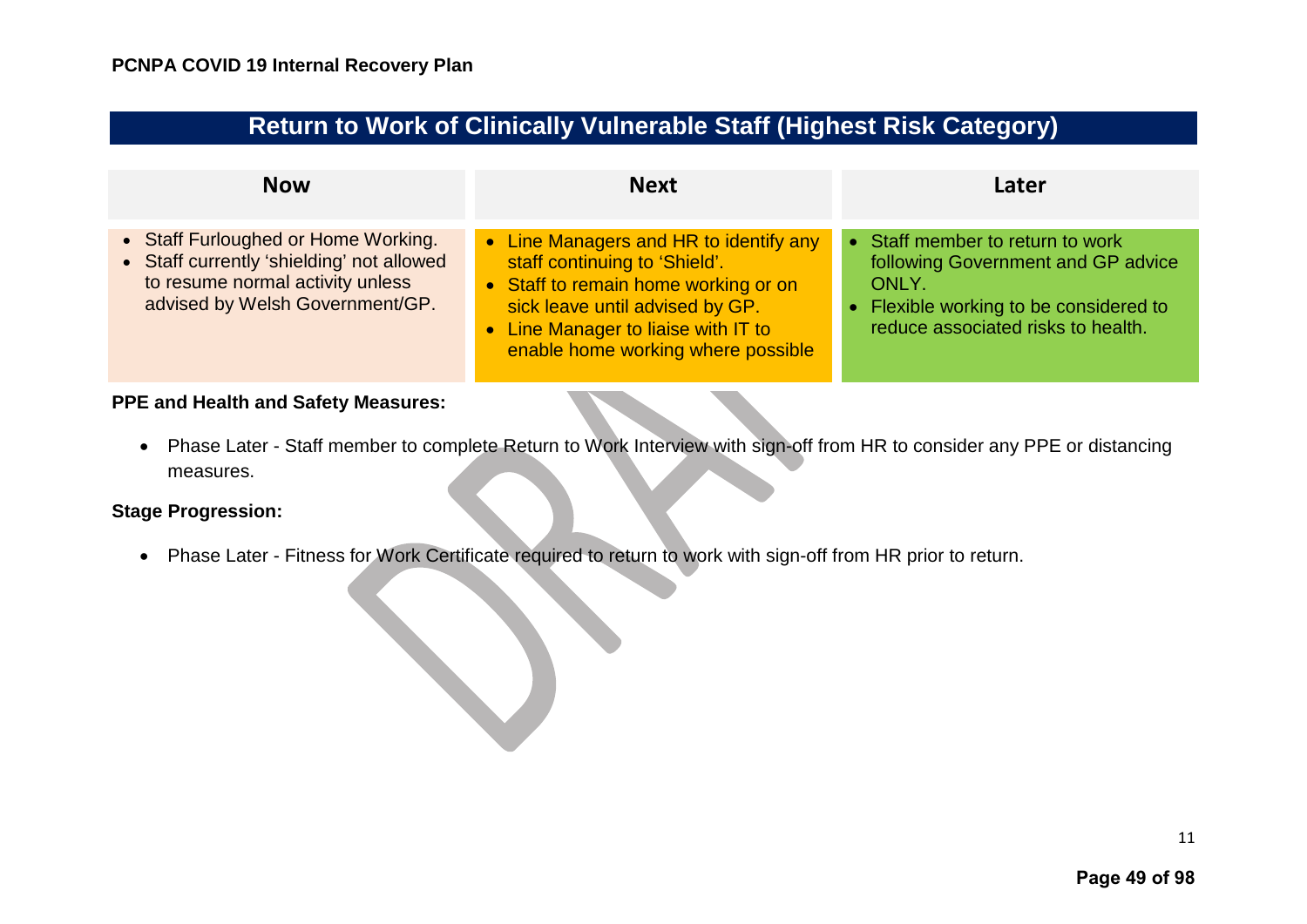| <b>Return to Work of Clinically Vulnerable Staff (Highest Risk Category)</b> |  |  |
|------------------------------------------------------------------------------|--|--|
|------------------------------------------------------------------------------|--|--|

<span id="page-12-0"></span>

| <b>Now</b>                                                                                                                                              | <b>Next</b>                                                                                                                                                                                                                     | Later                                                                                                                                                           |
|---------------------------------------------------------------------------------------------------------------------------------------------------------|---------------------------------------------------------------------------------------------------------------------------------------------------------------------------------------------------------------------------------|-----------------------------------------------------------------------------------------------------------------------------------------------------------------|
| • Staff Furloughed or Home Working.<br>• Staff currently 'shielding' not allowed<br>to resume normal activity unless<br>advised by Welsh Government/GP. | • Line Managers and HR to identify any<br>staff continuing to 'Shield'.<br>• Staff to remain home working or on<br>sick leave until advised by GP.<br>• Line Manager to liaise with IT to<br>enable home working where possible | • Staff member to return to work<br>following Government and GP advice<br>ONLY.<br>• Flexible working to be considered to<br>reduce associated risks to health. |

• Phase Later - Staff member to complete Return to Work Interview with sign-off from HR to consider any PPE or distancing measures.

#### **Stage Progression:**

• Phase Later - Fitness for Work Certificate required to return to work with sign-off from HR prior to return.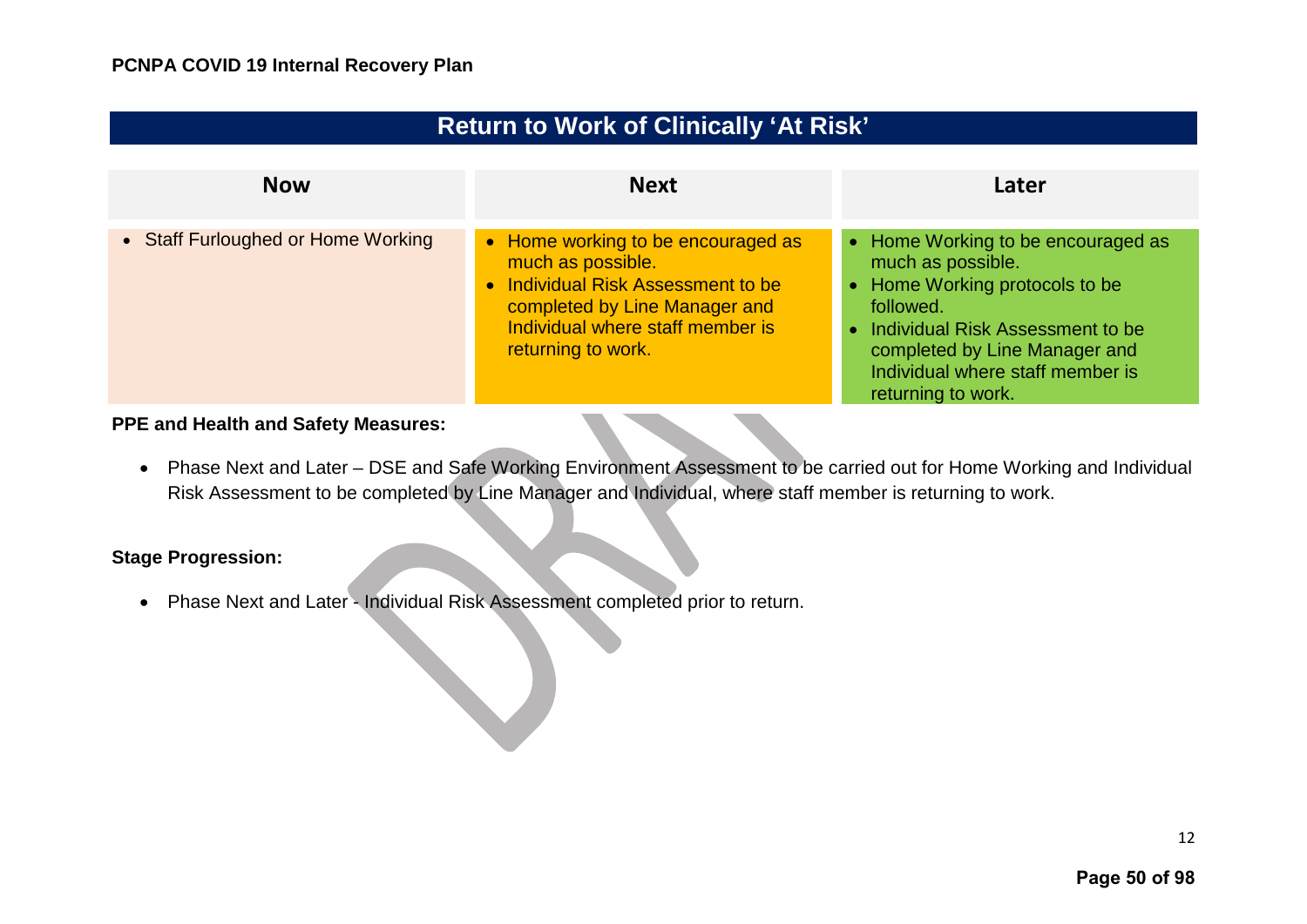<span id="page-13-0"></span>

| <b>Return to Work of Clinically 'At Risk'</b> |                                                                                                                                                                                          |                                                                                                                                                                                                                                         |
|-----------------------------------------------|------------------------------------------------------------------------------------------------------------------------------------------------------------------------------------------|-----------------------------------------------------------------------------------------------------------------------------------------------------------------------------------------------------------------------------------------|
| <b>Now</b>                                    | <b>Next</b>                                                                                                                                                                              | Later                                                                                                                                                                                                                                   |
| • Staff Furloughed or Home Working            | • Home working to be encouraged as<br>much as possible.<br>• Individual Risk Assessment to be<br>completed by Line Manager and<br>Individual where staff member is<br>returning to work. | • Home Working to be encouraged as<br>much as possible.<br>• Home Working protocols to be<br>followed.<br>• Individual Risk Assessment to be<br>completed by Line Manager and<br>Individual where staff member is<br>returning to work. |

• Phase Next and Later – DSE and Safe Working Environment Assessment to be carried out for Home Working and Individual Risk Assessment to be completed by Line Manager and Individual, where staff member is returning to work.

#### **Stage Progression:**

• Phase Next and Later - Individual Risk Assessment completed prior to return.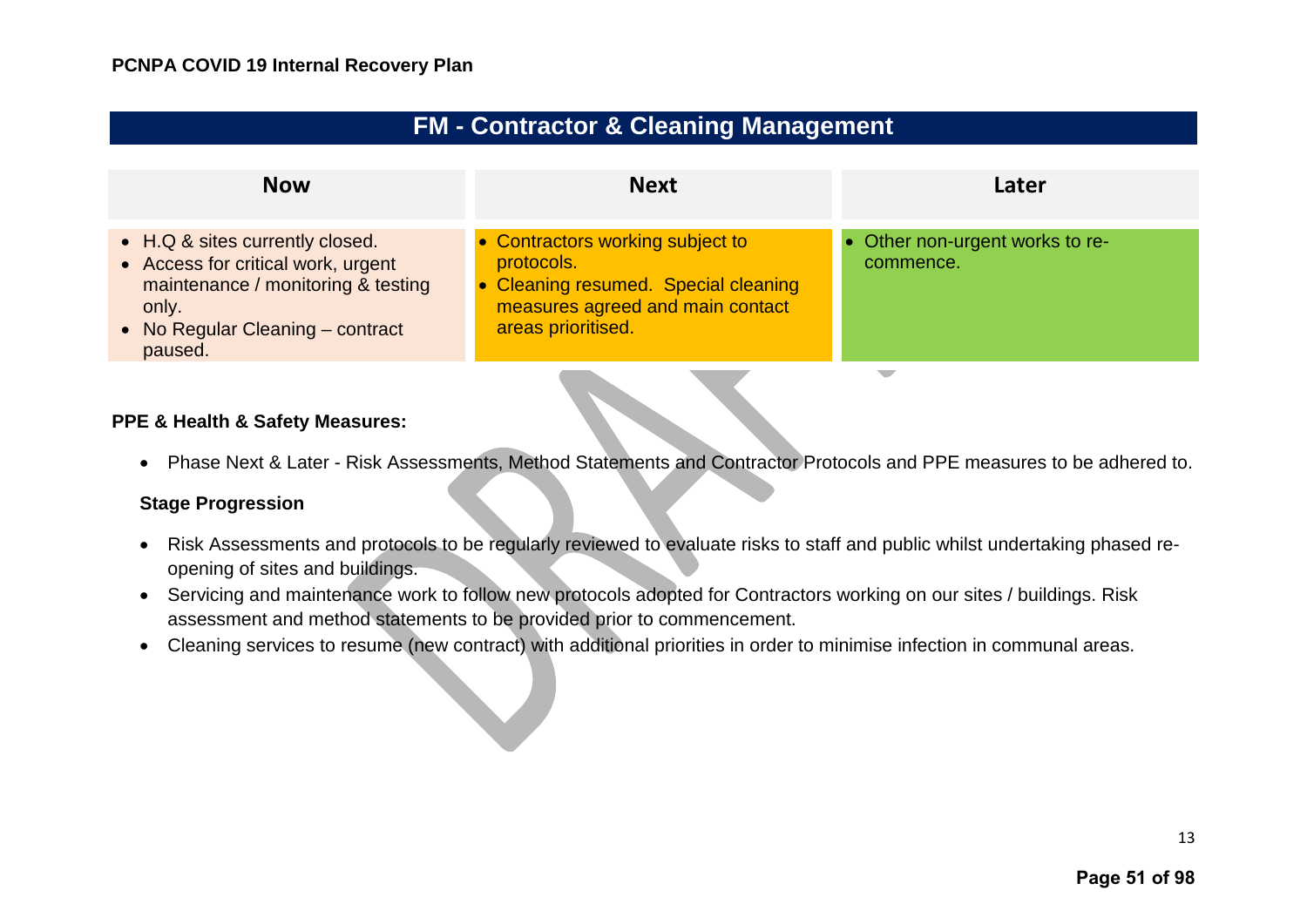| <b>FM - Contractor &amp; Cleaning Management</b> |  |  |
|--------------------------------------------------|--|--|
|--------------------------------------------------|--|--|

<span id="page-14-0"></span>

| <b>Now</b>                                                                                                                                                          | <b>Next</b>                                                                                                                                      | Later                                        |
|---------------------------------------------------------------------------------------------------------------------------------------------------------------------|--------------------------------------------------------------------------------------------------------------------------------------------------|----------------------------------------------|
| • H.Q & sites currently closed.<br>• Access for critical work, urgent<br>maintenance / monitoring & testing<br>only.<br>• No Regular Cleaning – contract<br>paused. | • Contractors working subject to<br>protocols.<br>• Cleaning resumed. Special cleaning<br>measures agreed and main contact<br>areas prioritised. | • Other non-urgent works to re-<br>commence. |
|                                                                                                                                                                     |                                                                                                                                                  |                                              |

#### **PPE & Health & Safety Measures:**

• Phase Next & Later - Risk Assessments, Method Statements and Contractor Protocols and PPE measures to be adhered to.

#### **Stage Progression**

- Risk Assessments and protocols to be regularly reviewed to evaluate risks to staff and public whilst undertaking phased reopening of sites and buildings.
- Servicing and maintenance work to follow new protocols adopted for Contractors working on our sites / buildings. Risk assessment and method statements to be provided prior to commencement.
- Cleaning services to resume (new contract) with additional priorities in order to minimise infection in communal areas.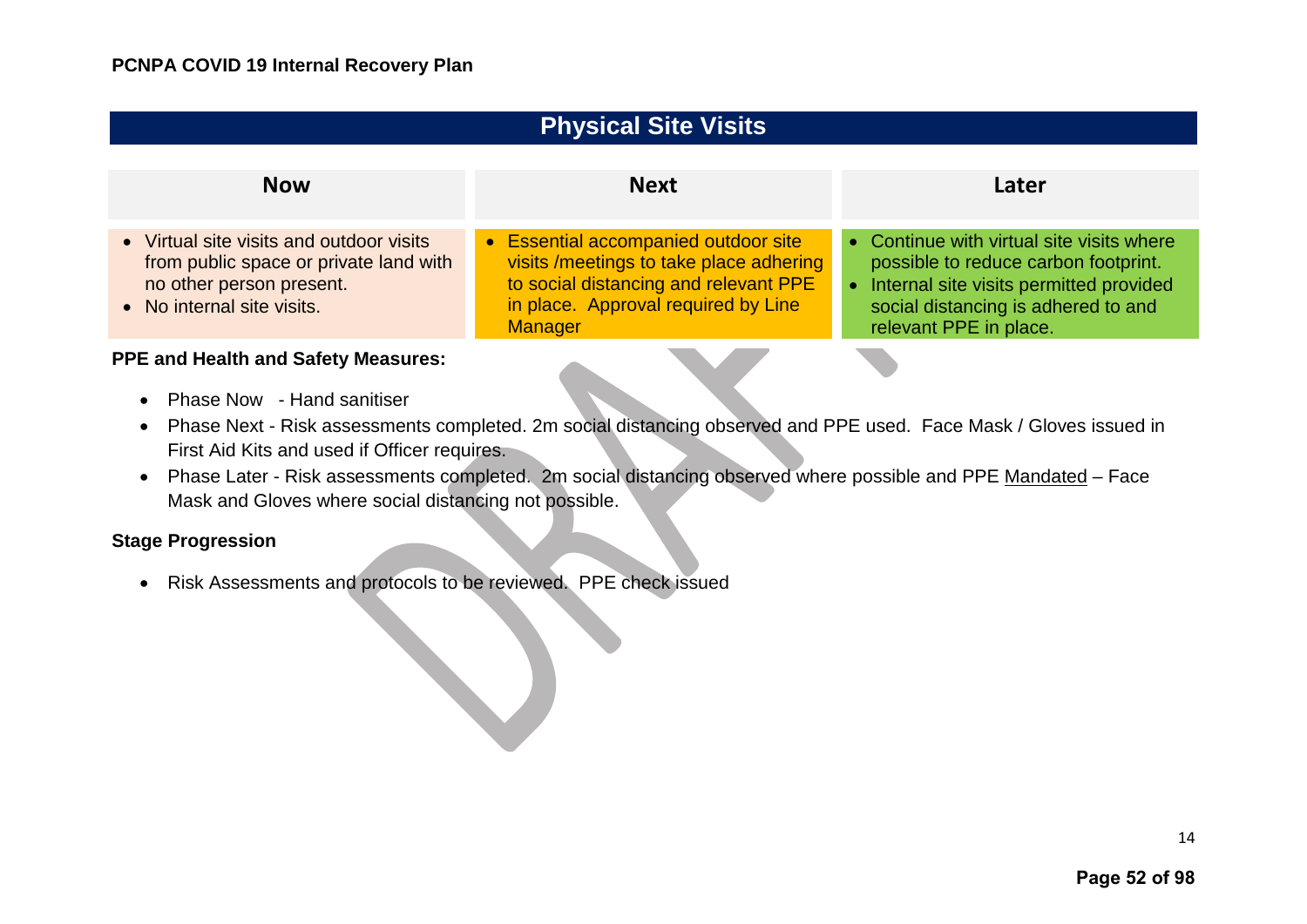#### <span id="page-15-0"></span>**Physical Site Visits Now Next Later** • Virtual site visits and outdoor visits from public space or private land with no other person present. • No internal site visits. • Essential accompanied outdoor site visits /meetings to take place adhering to social distancing and relevant PPE in place. Approval required by Line **Manager** • Continue with virtual site visits where possible to reduce carbon footprint. • Internal site visits permitted provided social distancing is adhered to and relevant PPE in place.

#### **PPE and Health and Safety Measures:**

- Phase Now Hand sanitiser
- Phase Next Risk assessments completed. 2m social distancing observed and PPE used. Face Mask / Gloves issued in First Aid Kits and used if Officer requires.
- Phase Later Risk assessments completed. 2m social distancing observed where possible and PPE Mandated Face Mask and Gloves where social distancing not possible.

#### **Stage Progression**

• Risk Assessments and protocols to be reviewed. PPE check issued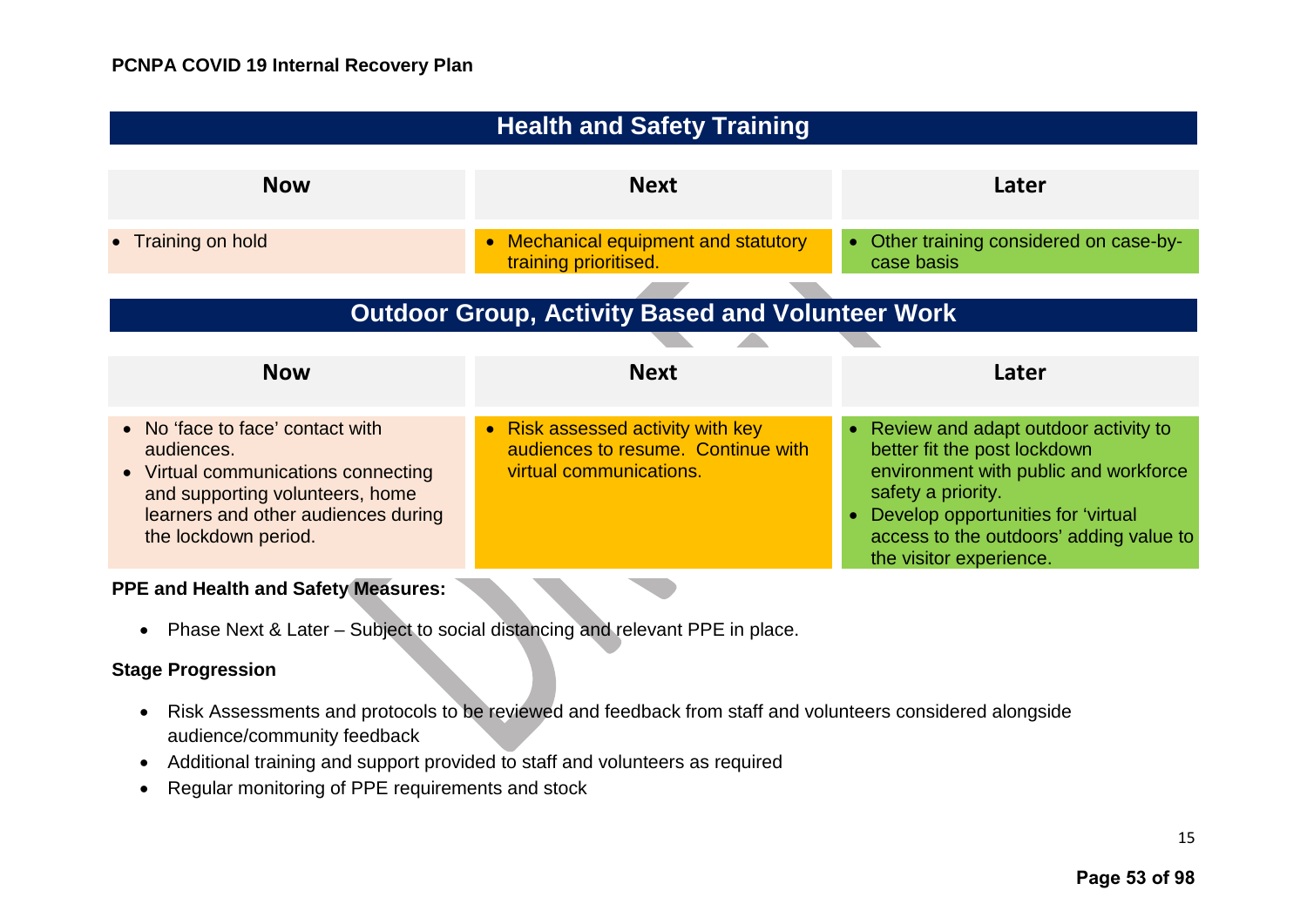<span id="page-16-1"></span><span id="page-16-0"></span>

| <b>Health and Safety Training</b>                                                                                                                                                       |                                                                                                    |                                                                                                                                                                                                                                                 |
|-----------------------------------------------------------------------------------------------------------------------------------------------------------------------------------------|----------------------------------------------------------------------------------------------------|-------------------------------------------------------------------------------------------------------------------------------------------------------------------------------------------------------------------------------------------------|
| <b>Now</b>                                                                                                                                                                              | <b>Next</b>                                                                                        | Later                                                                                                                                                                                                                                           |
| • Training on hold                                                                                                                                                                      | Mechanical equipment and statutory<br>$\bullet$<br>training prioritised.                           | • Other training considered on case-by-<br>case basis                                                                                                                                                                                           |
| <b>Outdoor Group, Activity Based and Volunteer Work</b>                                                                                                                                 |                                                                                                    |                                                                                                                                                                                                                                                 |
| <b>Now</b>                                                                                                                                                                              | <b>Next</b>                                                                                        | Later                                                                                                                                                                                                                                           |
| • No 'face to face' contact with<br>audiences.<br>• Virtual communications connecting<br>and supporting volunteers, home<br>learners and other audiences during<br>the lockdown period. | • Risk assessed activity with key<br>audiences to resume. Continue with<br>virtual communications. | Review and adapt outdoor activity to<br>better fit the post lockdown<br>environment with public and workforce<br>safety a priority.<br>Develop opportunities for 'virtual<br>access to the outdoors' adding value to<br>the visitor experience. |

• Phase Next & Later – Subject to social distancing and relevant PPE in place.

#### **Stage Progression**

- Risk Assessments and protocols to be reviewed and feedback from staff and volunteers considered alongside audience/community feedback
- Additional training and support provided to staff and volunteers as required
- Regular monitoring of PPE requirements and stock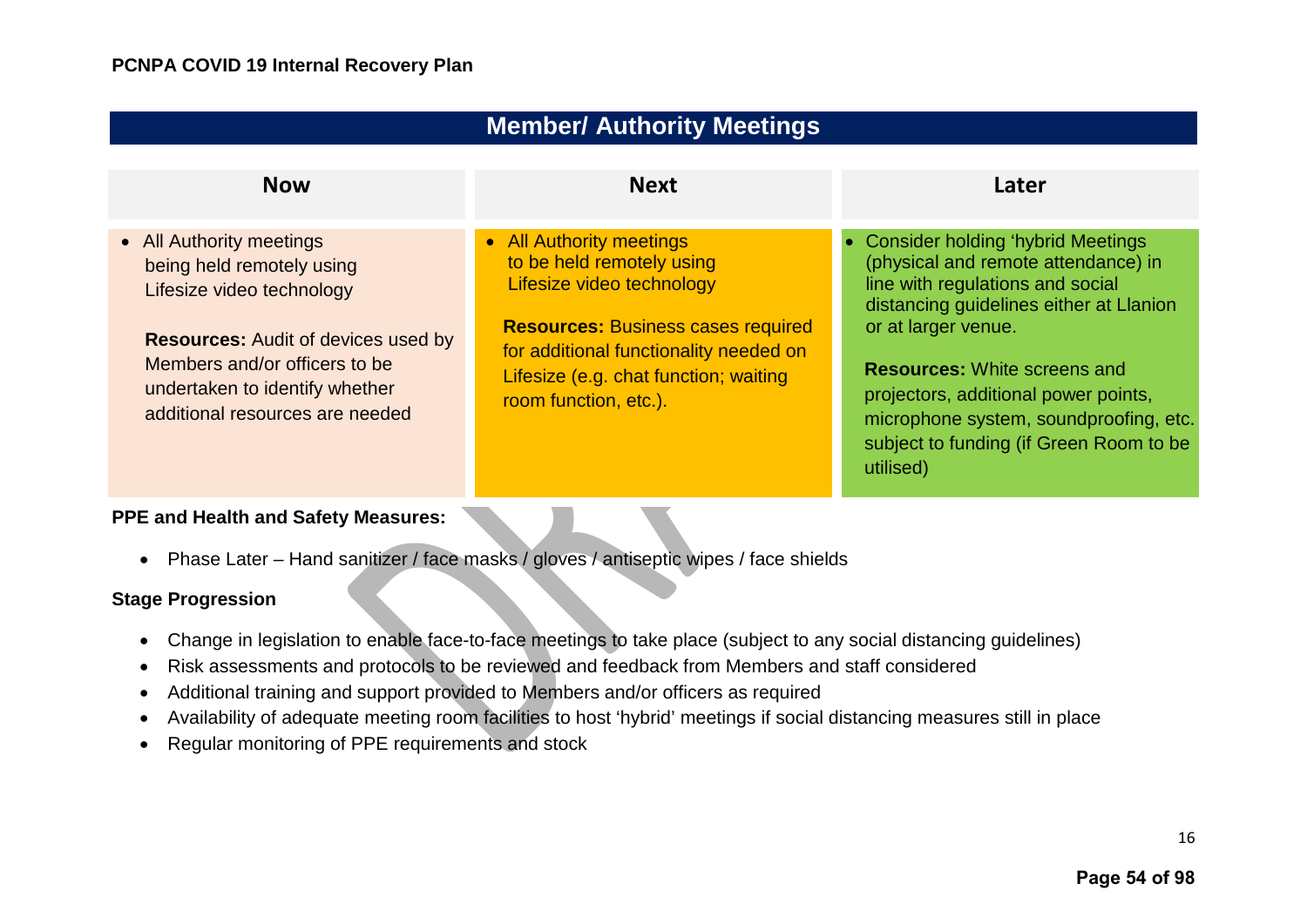<span id="page-17-0"></span>

| <b>Member/ Authority Meetings</b>                                                                                                                                                                                                      |                                                                                                                                                                                                                                             |                                                                                                                                                                                                                                                                                                                                                                   |  |
|----------------------------------------------------------------------------------------------------------------------------------------------------------------------------------------------------------------------------------------|---------------------------------------------------------------------------------------------------------------------------------------------------------------------------------------------------------------------------------------------|-------------------------------------------------------------------------------------------------------------------------------------------------------------------------------------------------------------------------------------------------------------------------------------------------------------------------------------------------------------------|--|
| <b>Now</b>                                                                                                                                                                                                                             | <b>Next</b>                                                                                                                                                                                                                                 | Later                                                                                                                                                                                                                                                                                                                                                             |  |
| • All Authority meetings<br>being held remotely using<br>Lifesize video technology<br><b>Resources:</b> Audit of devices used by<br>Members and/or officers to be<br>undertaken to identify whether<br>additional resources are needed | • All Authority meetings<br>to be held remotely using<br>Lifesize video technology<br><b>Resources: Business cases required</b><br>for additional functionality needed on<br>Lifesize (e.g. chat function; waiting<br>room function, etc.). | • Consider holding 'hybrid Meetings<br>(physical and remote attendance) in<br>line with regulations and social<br>distancing guidelines either at Llanion<br>or at larger venue.<br><b>Resources:</b> White screens and<br>projectors, additional power points,<br>microphone system, soundproofing, etc.<br>subject to funding (if Green Room to be<br>utilised) |  |

• Phase Later – Hand sanitizer / face masks / gloves / antiseptic wipes / face shields

#### **Stage Progression**

- Change in legislation to enable face-to-face meetings to take place (subject to any social distancing guidelines)
- Risk assessments and protocols to be reviewed and feedback from Members and staff considered
- Additional training and support provided to Members and/or officers as required
- Availability of adequate meeting room facilities to host 'hybrid' meetings if social distancing measures still in place
- Regular monitoring of PPE requirements and stock